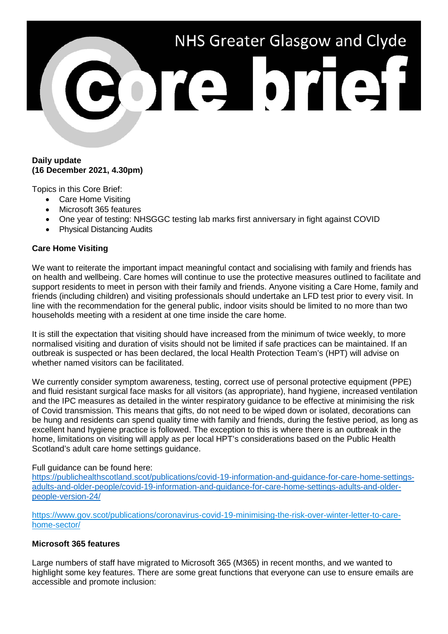# NHS Greater Glasgow and Clyde

#### **Daily update (16 December 2021, 4.30pm)**

Topics in this Core Brief:

- Care Home Visiting
- Microsoft 365 features
- One year of testing: NHSGGC testing lab marks first anniversary in fight against COVID
- Physical Distancing Audits

## **Care Home Visiting**

We want to reiterate the important impact meaningful contact and socialising with family and friends has on health and wellbeing. Care homes will continue to use the protective measures outlined to facilitate and support residents to meet in person with their family and friends. Anyone visiting a Care Home, family and friends (including children) and visiting professionals should undertake an LFD test prior to every visit. In line with the recommendation for the general public, indoor visits should be limited to no more than two households meeting with a resident at one time inside the care home.

It is still the expectation that visiting should have increased from the minimum of twice weekly, to more normalised visiting and duration of visits should not be limited if safe practices can be maintained. If an outbreak is suspected or has been declared, the local Health Protection Team's (HPT) will advise on whether named visitors can be facilitated.

We currently consider symptom awareness, testing, correct use of personal protective equipment (PPE) and fluid resistant surgical face masks for all visitors (as appropriate), hand hygiene, increased ventilation and the IPC measures as detailed in the winter respiratory guidance to be effective at minimising the risk of Covid transmission. This means that gifts, do not need to be wiped down or isolated, decorations can be hung and residents can spend quality time with family and friends, during the festive period, as long as excellent hand hygiene practice is followed. The exception to this is where there is an outbreak in the home, limitations on visiting will apply as per local HPT's considerations based on the Public Health Scotland's adult care home settings guidance.

#### Full guidance can be found here:

[https://publichealthscotland.scot/publications/covid-19-information-and-guidance-for-care-home-settings](https://publichealthscotland.scot/publications/covid-19-information-and-guidance-for-care-home-settings-adults-and-older-people/covid-19-information-and-guidance-for-care-home-settings-adults-and-older-people-version-24/)[adults-and-older-people/covid-19-information-and-guidance-for-care-home-settings-adults-and-older](https://publichealthscotland.scot/publications/covid-19-information-and-guidance-for-care-home-settings-adults-and-older-people/covid-19-information-and-guidance-for-care-home-settings-adults-and-older-people-version-24/)[people-version-24/](https://publichealthscotland.scot/publications/covid-19-information-and-guidance-for-care-home-settings-adults-and-older-people/covid-19-information-and-guidance-for-care-home-settings-adults-and-older-people-version-24/)

[https://www.gov.scot/publications/coronavirus-covid-19-minimising-the-risk-over-winter-letter-to-care](https://www.gov.scot/publications/coronavirus-covid-19-minimising-the-risk-over-winter-letter-to-care-home-sector/)[home-sector/](https://www.gov.scot/publications/coronavirus-covid-19-minimising-the-risk-over-winter-letter-to-care-home-sector/)

#### **Microsoft 365 features**

Large numbers of staff have migrated to Microsoft 365 (M365) in recent months, and we wanted to highlight some key features. There are some great functions that everyone can use to ensure emails are accessible and promote inclusion: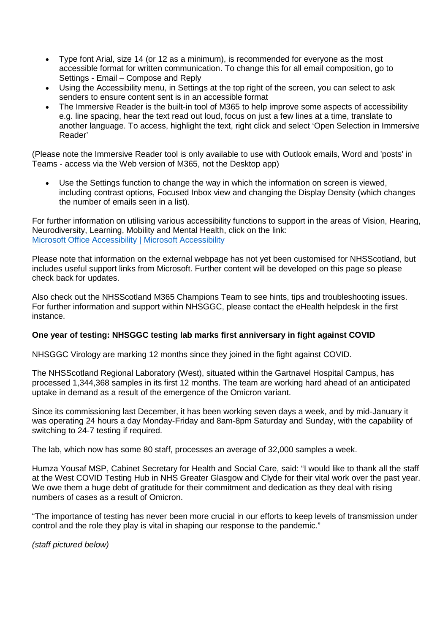- Type font Arial, size 14 (or 12 as a minimum), is recommended for everyone as the most accessible format for written communication. To change this for all email composition, go to Settings - Email – Compose and Reply
- Using the Accessibility menu, in Settings at the top right of the screen, you can select to ask senders to ensure content sent is in an accessible format
- The Immersive Reader is the built-in tool of M365 to help improve some aspects of accessibility e.g. line spacing, hear the text read out loud, focus on just a few lines at a time, translate to another language. To access, highlight the text, right click and select 'Open Selection in Immersive Reader'

(Please note the Immersive Reader tool is only available to use with Outlook emails, Word and 'posts' in Teams - access via the Web version of M365, not the Desktop app)

Use the Settings function to change the way in which the information on screen is viewed, including contrast options, Focused Inbox view and changing the Display Density (which changes the number of emails seen in a list).

For further information on utilising various accessibility functions to support in the areas of Vision, Hearing, Neurodiversity, Learning, Mobility and Mental Health, click on the link: [Microsoft Office Accessibility | Microsoft Accessibility](https://www.microsoft.com/en-us/accessibility/microsoft-365?activetab=pivot_1:primaryr2)

Please note that information on the external webpage has not yet been customised for NHSScotland, but includes useful support links from Microsoft. Further content will be developed on this page so please check back for updates.

Also check out the NHSScotland M365 Champions Team to see hints, tips and troubleshooting issues. For further information and support within NHSGGC, please contact the eHealth helpdesk in the first instance.

# **One year of testing: NHSGGC testing lab marks first anniversary in fight against COVID**

NHSGGC Virology are marking 12 months since they joined in the fight against COVID.

The NHSScotland Regional Laboratory (West), situated within the Gartnavel Hospital Campus, has processed 1,344,368 samples in its first 12 months. The team are working hard ahead of an anticipated uptake in demand as a result of the emergence of the Omicron variant.

Since its commissioning last December, it has been working seven days a week, and by mid-January it was operating 24 hours a day Monday-Friday and 8am-8pm Saturday and Sunday, with the capability of switching to 24-7 testing if required.

The lab, which now has some 80 staff, processes an average of 32,000 samples a week.

Humza Yousaf MSP, Cabinet Secretary for Health and Social Care, said: "I would like to thank all the staff at the West COVID Testing Hub in NHS Greater Glasgow and Clyde for their vital work over the past year. We owe them a huge debt of gratitude for their commitment and dedication as they deal with rising numbers of cases as a result of Omicron.

"The importance of testing has never been more crucial in our efforts to keep levels of transmission under control and the role they play is vital in shaping our response to the pandemic."

*(staff pictured below)*